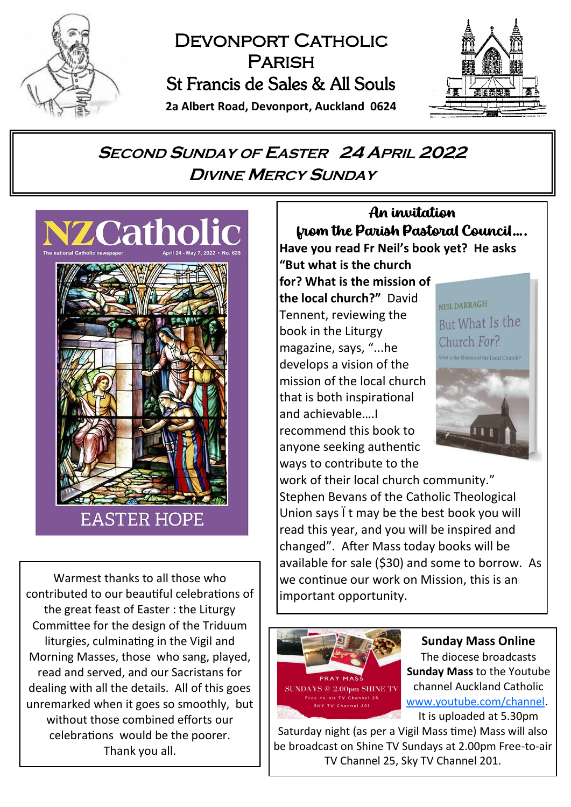

# DEVONPORT CATHOLIC **PARISH** St Francis de Sales & All Souls



**2a Albert Road, Devonport, Auckland 0624**

# **<sup>S</sup>ECOND <sup>S</sup>UNDAY OF EASTER 24 APRIL <sup>2022</sup> DIVINE MERCY SUNDAY**



Warmest thanks to all those who contributed to our beautiful celebrations of the great feast of Easter : the Liturgy Committee for the design of the Triduum liturgies, culminating in the Vigil and Morning Masses, those who sang, played, read and served, and our Sacristans for dealing with all the details. All of this goes unremarked when it goes so smoothly, but without those combined efforts our celebrations would be the poorer. Thank you all.

# An invitation from the Parish Pastoral Council….

**Have you read Fr Neil's book yet? He asks "But what is the church** 

**for? What is the mission of the local church?"** David Tennent, reviewing the book in the Liturgy magazine, says, "...he develops a vision of the mission of the local church that is both inspirational and achievable….I recommend this book to anyone seeking authentic ways to contribute to the

NEIL DARRAGH But What Is the Church For?



work of their local church community." Stephen Bevans of the Catholic Theological Union says  $\ddot{\phantom{a}}$  t may be the best book you will read this year, and you will be inspired and changed". After Mass today books will be available for sale (\$30) and some to borrow. As we continue our work on Mission, this is an important opportunity.



**Sunday Mass Online** The diocese broadcasts **Sunday Mass** to the Youtube channel Auckland Catholic [www.youtube.com/channel.](https://www.youtube.com/channel/UCb7o1XYfQet-mOW1mJSzfow)

It is uploaded at 5.30pm

Saturday night (as per a Vigil Mass time) Mass will also be broadcast on Shine TV Sundays at 2.00pm Free-to-air TV Channel 25, Sky TV Channel 201.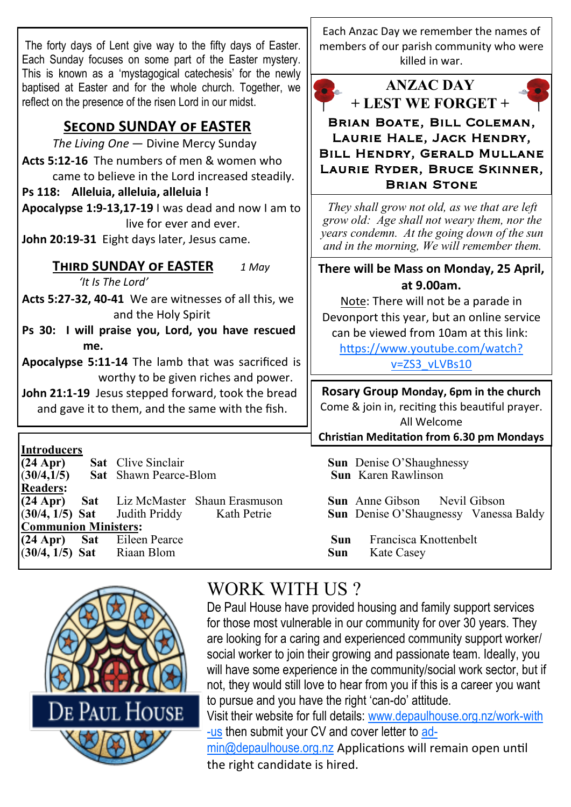The forty days of Lent give way to the fifty days of Easter. Each Sunday focuses on some part of the Easter mystery. This is known as a 'mystagogical catechesis' for the newly baptised at Easter and for the whole church. Together, we reflect on the presence of the risen Lord in our midst.

# **Second SUNDAY of EASTER**

*The Living One* — Divine Mercy Sunday **Acts 5:12-16** The numbers of men & women who came to believe in the Lord increased steadily.

#### **Ps 118: Alleluia, alleluia, alleluia !**

**Apocalypse 1:9-13,17-19** I was dead and now I am to live for ever and ever.

**John 20:19-31** Eight days later, Jesus came.

## **Third SUNDAY of EASTER** *1 May*

*'It Is The Lord'*

**Acts 5:27-32, 40-41** We are witnesses of all this, we and the Holy Spirit

**Ps 30: I will praise you, Lord, you have rescued me.**

**Apocalypse 5:11-14** The lamb that was sacrificed is worthy to be given riches and power.

**John 21:1-19** Jesus stepped forward, took the bread and gave it to them, and the same with the fish.

**Introducers Sat** Clive Sinclair **Sun** Denise O'Shaughnessy<br> **Sun** Karen Rawlinson<br> **Sun** Karen Rawlinson  $(30/4.1/5)$  **Sat** Shawn Pearce-Blom **Readers: (24 Apr) Sat** Liz McMaster Shaun Erasmuson **Sun** Anne Gibson Nevil Gibson (**30/4, 1/5) Sat** Judith Priddy Kath Petrie **Sun** Denise O'Shaugnessy Vanessa Baldy **Communion Ministers: (24 Apr) Sat** Eileen Pearce **Sun** Francisca Knottenbelt (**30/4, 1/5) Sat** Riaan Blom **Sun** Kate Casey





*They shall grow not old, as we that are left grow old: Age shall not weary them, nor the years condemn. At the going down of the sun and in the morning, We will remember them.*

### **There will be Mass on Monday, 25 April, at 9.00am.**

Note: There will not be a parade in Devonport this year, but an online service can be viewed from 10am at this link:

[https://www.youtube.com/watch?](https://www.youtube.com/watch?v=ZS3_vLVBs10) [v=ZS3\\_vLVBs10](https://www.youtube.com/watch?v=ZS3_vLVBs10)

# **Rosary Group Monday, 6pm in the church**

Come & join in, reciting this beautiful prayer. All Welcome

**Christian Meditation from 6.30 pm Mondays**



# WORK WITH US?

De Paul House have provided housing and family support services for those most vulnerable in our community for over 30 years. They are looking for a caring and experienced community support worker/ social worker to join their growing and passionate team. Ideally, you will have some experience in the community/social work sector, but if not, they would still love to hear from you if this is a career you want to pursue and you have the right 'can-do' attitude.

Visit their website for full details: [www.depaulhouse.org.nz/work-with](http://www.depaulhouse.org.nz/work-with-us) [-us](http://www.depaulhouse.org.nz/work-with-us) then submit your CV and cover letter to [ad](mailto:admin@depaulhouse.org.nz)[min@depaulhouse.org.nz](mailto:admin@depaulhouse.org.nz) Applications will remain open until the right candidate is hired.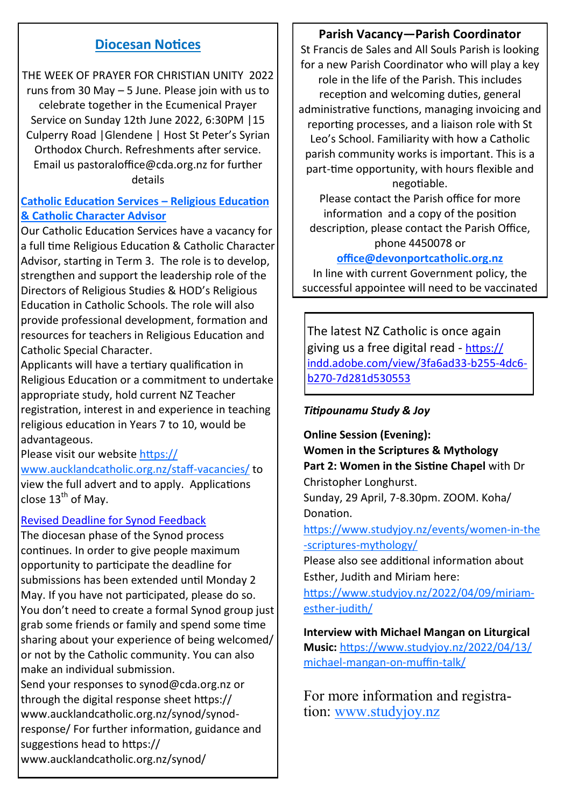#### **Diocesan Notices**

THE WEEK OF PRAYER FOR CHRISTIAN UNITY 2022 runs from 30 May – 5 June. Please join with us to celebrate together in the Ecumenical Prayer Service on Sunday 12th June 2022, 6:30PM |15 Culperry Road |Glendene | Host St Peter's Syrian Orthodox Church. Refreshments after service. Email us pastoraloffice@cda.org.nz for further details

#### **Catholic Education Services – Religious Education & Catholic Character Advisor**

Our Catholic Education Services have a vacancy for a full time Religious Education & Catholic Character Advisor, starting in Term 3. The role is to develop, strengthen and support the leadership role of the Directors of Religious Studies & HOD's Religious Education in Catholic Schools. The role will also provide professional development, formation and resources for teachers in Religious Education and Catholic Special Character.

Applicants will have a tertiary qualification in Religious Education or a commitment to undertake appropriate study, hold current NZ Teacher registration, interest in and experience in teaching religious education in Years 7 to 10, would be advantageous.

#### Please visit our website [https://](https://www.aucklandcatholic.org.nz/staff-vacancies/)

[www.aucklandcatholic.org.nz/staff](https://www.aucklandcatholic.org.nz/staff-vacancies/)-vacancies/ to view the full advert and to apply. Applications close  $13^{th}$  of May.

#### Revised Deadline for Synod Feedback

The diocesan phase of the Synod process continues. In order to give people maximum opportunity to participate the deadline for submissions has been extended until Monday 2 May. If you have not participated, please do so. You don't need to create a formal Synod group just grab some friends or family and spend some time sharing about your experience of being welcomed/ or not by the Catholic community. You can also make an individual submission.

Send your responses to synod@cda.org.nz or through the digital response sheet https:// www.aucklandcatholic.org.nz/synod/synodresponse/ For further information, guidance and suggestions head to https:// www.aucklandcatholic.org.nz/synod/

#### **Parish Vacancy—Parish Coordinator**

St Francis de Sales and All Souls Parish is looking for a new Parish Coordinator who will play a key role in the life of the Parish. This includes reception and welcoming duties, general administrative functions, managing invoicing and reporting processes, and a liaison role with St Leo's School. Familiarity with how a Catholic parish community works is important. This is a part-time opportunity, with hours flexible and negotiable.

Please contact the Parish office for more information and a copy of the position description, please contact the Parish Office, phone 4450078 or

#### **[office@devonportcatholic.org.nz](mailto:office@devonportcatholic.org.nz)**

In line with current Government policy, the successful appointee will need to be vaccinated

The latest NZ Catholic is once again giving us a free digital read - [https://](https://indd.adobe.com/view/3fa6ad33-b255-4dc6-b270-7d281d530553) [indd.adobe.com/view/3fa6ad33](https://indd.adobe.com/view/3fa6ad33-b255-4dc6-b270-7d281d530553)-b255-4dc6 b270-[7d281d530553](https://indd.adobe.com/view/3fa6ad33-b255-4dc6-b270-7d281d530553)

#### *Titipounamu Study & Joy*

**Online Session (Evening): Women in the Scriptures & Mythology Part 2: Women in the Sistine Chapel** with Dr Christopher Longhurst. Sunday, 29 April, 7-8.30pm. ZOOM. Koha/ Donation.

[https://www.studyjoy.nz/events/women](https://www.studyjoy.nz/events/women-in-the-scriptures-mythology/)-in-the -scriptures-[mythology/](https://www.studyjoy.nz/events/women-in-the-scriptures-mythology/)

Please also see additional information about Esther, Judith and Miriam here:

[https://www.studyjoy.nz/2022/04/09/miriam](https://www.studyjoy.nz/2022/04/09/miriam-esther-judith/)esther-[judith/](https://www.studyjoy.nz/2022/04/09/miriam-esther-judith/)

**Interview with Michael Mangan on Liturgical Music:** [https://www.studyjoy.nz/2022/04/13/](https://www.studyjoy.nz/2022/04/13/michael-mangan-on-muffin-talk/) michael-[mangan](https://www.studyjoy.nz/2022/04/13/michael-mangan-on-muffin-talk/)-on-muffin-talk/

For more information and registration: [www.studyjoy.nz](http://www.studyjoy.nz)